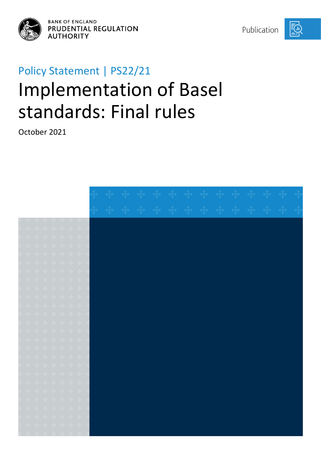

**BANK OF ENGLAND** PRUDENTIAL REGULATION **AUTHORITY** 

Publication



# Policy Statement | PS22/21 Implementation of Basel standards: Final rules

October 2021

|  |  |  | $\mathcal{A}_n = \mathcal{A}_n = \mathcal{A}_n = \mathcal{A}_n = \mathcal{A}_n = \mathcal{A}_n = \mathcal{A}_n$ |                                                                                                                                                                                                                                                                                                                                                                                                                               |  |  |  |  |  |  |  |  |
|--|--|--|-----------------------------------------------------------------------------------------------------------------|-------------------------------------------------------------------------------------------------------------------------------------------------------------------------------------------------------------------------------------------------------------------------------------------------------------------------------------------------------------------------------------------------------------------------------|--|--|--|--|--|--|--|--|
|  |  |  |                                                                                                                 | $\begin{array}{ccccccccccccc} \bullet\frac{1}{4}\bullet\hspace{0.1cm}&\bullet\frac{1}{4}\bullet\hspace{0.1cm}&\bullet\frac{1}{4}\bullet\hspace{0.1cm}&\bullet\frac{1}{4}\bullet\hspace{0.1cm}&\bullet\frac{1}{4}\bullet\hspace{0.1cm}&\bullet\frac{1}{4}\bullet\hspace{0.1cm}&\bullet\frac{1}{4}\bullet\hspace{0.1cm} \end{array}$                                                                                            |  |  |  |  |  |  |  |  |
|  |  |  |                                                                                                                 | $\mathbf{e}_1^{\mathsf{T}_\bullet} = \mathbf{e}_1^{\mathsf{T}_\bullet} = \mathbf{e}_1^{\mathsf{T}_\bullet} = \mathbf{e}_1^{\mathsf{T}_\bullet} = \mathbf{e}_1^{\mathsf{T}_\bullet} = \mathbf{e}_1^{\mathsf{T}_\bullet} = \mathbf{e}_1^{\mathsf{T}_\bullet} =$                                                                                                                                                                 |  |  |  |  |  |  |  |  |
|  |  |  |                                                                                                                 | + + + + + + +                                                                                                                                                                                                                                                                                                                                                                                                                 |  |  |  |  |  |  |  |  |
|  |  |  |                                                                                                                 | + + + + + + +                                                                                                                                                                                                                                                                                                                                                                                                                 |  |  |  |  |  |  |  |  |
|  |  |  | $+$ $+$ $+$ $+$ $+$ $+$ $+$                                                                                     |                                                                                                                                                                                                                                                                                                                                                                                                                               |  |  |  |  |  |  |  |  |
|  |  |  |                                                                                                                 | $\frac{1}{2} \left( \begin{array}{ccc} \frac{1}{2} & \frac{1}{2} & \frac{1}{2} & \frac{1}{2} & \frac{1}{2} & \frac{1}{2} & \frac{1}{2} & \frac{1}{2} \end{array} \right)$                                                                                                                                                                                                                                                     |  |  |  |  |  |  |  |  |
|  |  |  |                                                                                                                 | + + + + + + +                                                                                                                                                                                                                                                                                                                                                                                                                 |  |  |  |  |  |  |  |  |
|  |  |  |                                                                                                                 | ÷ ÷ ÷ ÷ ÷ ÷ ÷ ÷                                                                                                                                                                                                                                                                                                                                                                                                               |  |  |  |  |  |  |  |  |
|  |  |  |                                                                                                                 | $\frac{1}{2}$ $\frac{1}{2}$ $\frac{1}{2}$ $\frac{1}{2}$ $\frac{1}{2}$ $\frac{1}{2}$ $\frac{1}{2}$ $\frac{1}{2}$ $\frac{1}{2}$ $\frac{1}{2}$                                                                                                                                                                                                                                                                                   |  |  |  |  |  |  |  |  |
|  |  |  |                                                                                                                 | <b>းျမန်း သို့ေတို့ေတို့ေတို့ေတို့ေ</b>                                                                                                                                                                                                                                                                                                                                                                                       |  |  |  |  |  |  |  |  |
|  |  |  |                                                                                                                 | + + + + + + +                                                                                                                                                                                                                                                                                                                                                                                                                 |  |  |  |  |  |  |  |  |
|  |  |  |                                                                                                                 | $\frac{1}{2} \left( \begin{array}{ccc} \frac{1}{2} & \frac{1}{2} & \frac{1}{2} & \frac{1}{2} & \frac{1}{2} & \frac{1}{2} & \frac{1}{2} \end{array} \right)$                                                                                                                                                                                                                                                                   |  |  |  |  |  |  |  |  |
|  |  |  |                                                                                                                 | $\frac{1}{2} \left( \begin{array}{ccccccccccccc} \frac{1}{2} & \frac{1}{2} & \frac{1}{2} & \frac{1}{2} & \frac{1}{2} & \frac{1}{2} & \frac{1}{2} & \frac{1}{2} & \frac{1}{2} & \frac{1}{2} & \frac{1}{2} & \frac{1}{2} & \frac{1}{2} & \frac{1}{2} & \frac{1}{2} & \frac{1}{2} & \frac{1}{2} & \frac{1}{2} & \frac{1}{2} & \frac{1}{2} & \frac{1}{2} & \frac{1}{2} & \frac{1}{2} & \frac{1}{2} & \frac{1}{2} &$               |  |  |  |  |  |  |  |  |
|  |  |  |                                                                                                                 | $\frac{1}{2} \mathbf{e} \qquad \frac{1}{2} \mathbf{e} \qquad \frac{1}{2} \mathbf{e} \qquad \frac{1}{2} \mathbf{e} \qquad \frac{1}{2} \mathbf{e} \qquad \frac{1}{2} \mathbf{e} \qquad \frac{1}{2} \mathbf{e} \qquad \frac{1}{2} \mathbf{e} \qquad \frac{1}{2} \mathbf{e} \qquad \frac{1}{2} \mathbf{e} \qquad \frac{1}{2} \mathbf{e} \qquad \frac{1}{2} \mathbf{e} \qquad \frac{1}{2} \mathbf{e} \qquad \frac{1}{2} \mathbf{e$ |  |  |  |  |  |  |  |  |
|  |  |  |                                                                                                                 | ÷ ÷ ÷ ÷ ÷ ÷ ÷                                                                                                                                                                                                                                                                                                                                                                                                                 |  |  |  |  |  |  |  |  |
|  |  |  |                                                                                                                 | $\frac{1}{2} \left( \begin{array}{ccc} \frac{1}{2} & \frac{1}{2} & \frac{1}{2} & \frac{1}{2} & \frac{1}{2} & \frac{1}{2} & \frac{1}{2} & \frac{1}{2} \end{array} \right)$                                                                                                                                                                                                                                                     |  |  |  |  |  |  |  |  |
|  |  |  |                                                                                                                 | $\frac{1}{2}$ $\frac{1}{2}$ $\frac{1}{2}$ $\frac{1}{2}$ $\frac{1}{2}$ $\frac{1}{2}$ $\frac{1}{2}$ $\frac{1}{2}$ $\frac{1}{2}$ $\frac{1}{2}$                                                                                                                                                                                                                                                                                   |  |  |  |  |  |  |  |  |
|  |  |  |                                                                                                                 | $\begin{array}{ccccccccccccc} \uparrow & \uparrow & \uparrow & \uparrow & \uparrow & \uparrow & \uparrow & \uparrow & \uparrow \end{array}$                                                                                                                                                                                                                                                                                   |  |  |  |  |  |  |  |  |
|  |  |  | $+$ $+$ $+$ $+$ $+$ $+$ $+$                                                                                     |                                                                                                                                                                                                                                                                                                                                                                                                                               |  |  |  |  |  |  |  |  |
|  |  |  |                                                                                                                 | $\frac{1}{2} \left( \begin{array}{ccccccccc} \frac{1}{2} & \frac{1}{2} & \frac{1}{2} & \frac{1}{2} & \frac{1}{2} & \frac{1}{2} & \frac{1}{2} & \frac{1}{2} & \frac{1}{2} & \frac{1}{2} & \frac{1}{2} & \frac{1}{2} & \frac{1}{2} & \frac{1}{2} & \frac{1}{2} & \frac{1}{2} & \frac{1}{2} & \frac{1}{2} & \frac{1}{2} & \frac{1}{2} & \frac{1}{2} & \frac{1}{2} & \frac{1}{2} & \frac{1}{2} & \frac{1}{2} & \$                 |  |  |  |  |  |  |  |  |
|  |  |  |                                                                                                                 | $\frac{1}{2}$ $\frac{1}{2}$ $\frac{1}{2}$ $\frac{1}{2}$ $\frac{1}{2}$ $\frac{1}{2}$ $\frac{1}{2}$ $\frac{1}{2}$ $\frac{1}{2}$                                                                                                                                                                                                                                                                                                 |  |  |  |  |  |  |  |  |
|  |  |  |                                                                                                                 | + + + + + + +                                                                                                                                                                                                                                                                                                                                                                                                                 |  |  |  |  |  |  |  |  |
|  |  |  |                                                                                                                 | $+ + + + + + +$                                                                                                                                                                                                                                                                                                                                                                                                               |  |  |  |  |  |  |  |  |
|  |  |  |                                                                                                                 | $\frac{1}{2} \left( \begin{array}{ccccccccccccc} -\frac{1}{2} & \frac{1}{2} & -\frac{1}{2} & -\frac{1}{2} & -\frac{1}{2} & -\frac{1}{2} & \frac{1}{2} & \frac{1}{2} & \frac{1}{2} & \frac{1}{2} & \frac{1}{2} & \frac{1}{2} & \frac{1}{2} & \frac{1}{2} & \frac{1}{2} & \frac{1}{2} & \frac{1}{2} & \frac{1}{2} & \frac{1}{2} & \frac{1}{2} & \frac{1}{2} & \frac{1}{2} & \frac{1}{2} & \frac{1}{2} & \frac{$                 |  |  |  |  |  |  |  |  |
|  |  |  |                                                                                                                 |                                                                                                                                                                                                                                                                                                                                                                                                                               |  |  |  |  |  |  |  |  |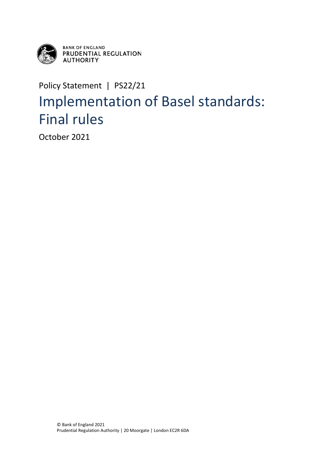

**BANK OF ENGLAND<br>PRUDENTIAL REGULATION AUTHORITY** 

Policy Statement | PS22/21

## Implementation of Basel standards: Final rules

October 2021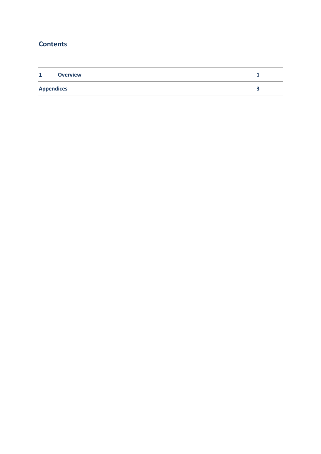### **Contents**

| $\mathbf{1}$      | <b>Overview</b> |  |
|-------------------|-----------------|--|
| <b>Appendices</b> |                 |  |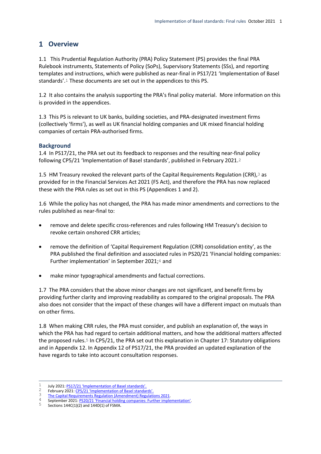#### <span id="page-3-0"></span>**Overview**

1.1 This Prudential Regulation Authority (PRA) Policy Statement (PS) provides the final PRA Rulebook instruments, Statements of Policy (SoPs), Supervisory Statements (SSs), and reporting templates and instructions, which were published as near-final in PS17/21 'Implementation of Basel standards'.1 These documents are set out in the appendices to this PS.

1.2 It also contains the analysis supporting the PRA's final policy material. More information on this is provided in the appendices.

1.3 This PS is relevant to UK banks, building societies, and PRA-designated investment firms (collectively 'firms'), as well as UK financial holding companies and UK mixed financial holding companies of certain PRA-authorised firms.

#### **Background**

1.4 In PS17/21, the PRA set out its feedback to responses and the resulting near-final policy following CP5/21 'Implementation of Basel standards', published in February 2021.2

1.5 HM Treasury revoked the relevant parts of the Capital Requirements Regulation (CRR),<sup>3</sup> as provided for in the Financial Services Act 2021 (FS Act), and therefore the PRA has now replaced these with the PRA rules as set out in this PS (Appendices 1 and 2).

1.6 While the policy has not changed, the PRA has made minor amendments and corrections to the rules published as near-final to:

- remove and delete specific cross-references and rules following HM Treasury's decision to revoke certain onshored CRR articles;
- remove the definition of 'Capital Requirement Regulation (CRR) consolidation entity', as the PRA published the final definition and associated rules in PS20/21 'Financial holding companies: Further implementation' in September 2021;<sup>4</sup> and
- make minor typographical amendments and factual corrections.

1.7 The PRA considers that the above minor changes are not significant, and benefit firms by providing further clarity and improving readability as compared to the original proposals. The PRA also does not consider that the impact of these changes will have a different impact on mutuals than on other firms.

1.8 When making CRR rules, the PRA must consider, and publish an explanation of, the ways in which the PRA has had regard to certain additional matters, and how the additional matters affected the proposed rules.<sup>5</sup> In CP5/21, the PRA set out this explanation in Chapter 17: Statutory obligations and in Appendix 12. In Appendix 12 of PS17/21, the PRA provided an updated explanation of the have regards to take into account consultation responses.

<sup>4</sup> September 2021: <u>[PS20/21 'Financial holding companies: Further implementation'](https://www.bankofengland.co.uk/prudential-regulation/publication/2021/june/financial-holding-companies-further-implementation)</u>.<br>5 Sections 144C(1)(2) and 144D(1) of ESMA

 $\mathbf{1}$ 1 July 2021: [PS17/21 'Implementation of Basel standards'.](https://www.bankofengland.co.uk/-/media/boe/files/prudential-regulation/policy-statement/2021/july/ps1721.pdf)

<sup>&</sup>lt;sup>2</sup> February 2021: [CP5/21 'Implementation of Basel standards'.](https://www.bankofengland.co.uk/-/media/boe/files/prudential-regulation/consultation-paper/2021/february/cp521.pdf)<br><sup>3</sup> The Capital Bequirements Bequlation (Amondment) Bequlation

 $\frac{3}{4}$  The Capital Requirements Regulation (Amendment) Regulations 2021

<sup>5</sup> Sections 144C(1)(2) and 144D(1) of FSMA.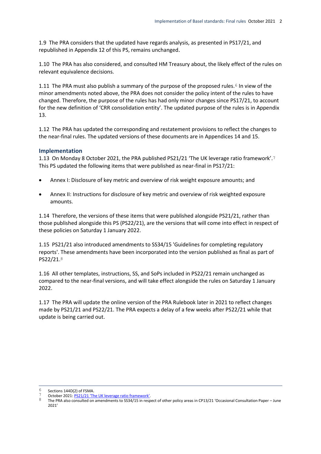1.9 The PRA considers that the updated have regards analysis, as presented in PS17/21, and republished in Appendix 12 of this PS, remains unchanged.

1.10 The PRA has also considered, and consulted HM Treasury about, the likely effect of the rules on relevant equivalence decisions.

1.11 The PRA must also publish a summary of the purpose of the proposed rules.<sup>6</sup> In view of the minor amendments noted above, the PRA does not consider the policy intent of the rules to have changed. Therefore, the purpose of the rules has had only minor changes since PS17/21, to account for the new definition of 'CRR consolidation entity'. The updated purpose of the rules is in Appendix 13.

1.12 The PRA has updated the corresponding and restatement provisions to reflect the changes to the near-final rules. The updated versions of these documents are in Appendices 14 and 15.

#### **Implementation**

1.13 On Monday 8 October 2021, the PRA published PS21/21 'The UK leverage ratio framework'.7 This PS updated the following items that were published as near-final in PS17/21:

- Annex I: Disclosure of key metric and overview of risk weight exposure amounts; and
- Annex II: Instructions for disclosure of key metric and overview of risk weighted exposure amounts.

1.14 Therefore, the versions of these items that were published alongside PS21/21, rather than those published alongside this PS (PS22/21), are the versions that will come into effect in respect of these policies on Saturday 1 January 2022.

1.15 PS21/21 also introduced amendments to SS34/15 'Guidelines for completing regulatory reports'. These amendments have been incorporated into the version published as final as part of PS22/21.8

1.16 All other templates, instructions, SS, and SoPs included in PS22/21 remain unchanged as compared to the near-final versions, and will take effect alongside the rules on Saturday 1 January 2022.

1.17 The PRA will update the online version of the PRA Rulebook later in 2021 to reflect changes made by PS21/21 and PS22/21. The PRA expects a delay of a few weeks after PS22/21 while that update is being carried out.

 $\overline{a}$ Sections 144D(2) of FSMA.

<sup>7</sup> October 2021:  $PST/21$  'The UK leverage ratio framework'.

The PRA also consulted on amendments to SS34/15 in respect of other policy areas in CP13/21 'Occasional Consultation Paper – June 2021'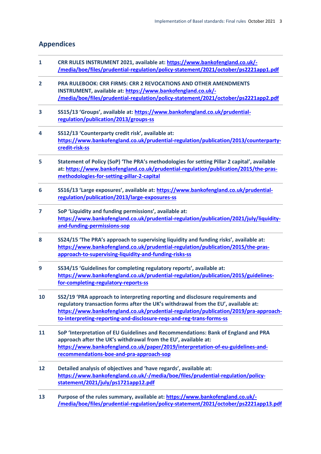#### <span id="page-5-0"></span>**Appendices**

- **1 CRR RULES INSTRUMENT 2021, available at[: https://www.bankofengland.co.uk/-](https://www.bankofengland.co.uk/-/media/boe/files/prudential-regulation/policy-statement/2021/october/ps2221app1.pdf) [/media/boe/files/prudential-regulation/policy-statement/2021/october/ps2221app1.pdf](https://www.bankofengland.co.uk/-/media/boe/files/prudential-regulation/policy-statement/2021/october/ps2221app1.pdf)**
- **2 PRA RULEBOOK: CRR FIRMS: CRR 2 REVOCATIONS AND OTHER AMENDMENTS INSTRUMENT, available at: [https://www.bankofengland.co.uk/-](https://www.bankofengland.co.uk/-/media/boe/files/prudential-regulation/policy-statement/2021/october/ps2221app2.pdf) [/media/boe/files/prudential-regulation/policy-statement/2021/october/ps2221app2.pdf](https://www.bankofengland.co.uk/-/media/boe/files/prudential-regulation/policy-statement/2021/october/ps2221app2.pdf)**
- **3 SS15/13 'Groups', available at: [https://www.bankofengland.co.uk/prudential](https://www.bankofengland.co.uk/prudential-regulation/publication/2013/groups-ss)[regulation/publication/2013/groups-ss](https://www.bankofengland.co.uk/prudential-regulation/publication/2013/groups-ss)**
- **4 SS12/13 'Counterparty credit risk', available at: [https://www.bankofengland.co.uk/prudential-regulation/publication/2013/counterparty](https://www.bankofengland.co.uk/prudential-regulation/publication/2013/counterparty-credit-risk-ss)[credit-risk-ss](https://www.bankofengland.co.uk/prudential-regulation/publication/2013/counterparty-credit-risk-ss)**
- **5 Statement of Policy (SoP) 'The PRA's methodologies for setting Pillar 2 capital', available at: [https://www.bankofengland.co.uk/prudential-regulation/publication/2015/the-pras](https://www.bankofengland.co.uk/prudential-regulation/publication/2015/the-pras-methodologies-for-setting-pillar-2-capital)[methodologies-for-setting-pillar-2-capital](https://www.bankofengland.co.uk/prudential-regulation/publication/2015/the-pras-methodologies-for-setting-pillar-2-capital)**
- **6 SS16/13 'Large exposures', available at: [https://www.bankofengland.co.uk/prudential](https://www.bankofengland.co.uk/prudential-regulation/publication/2013/large-exposures-ss)[regulation/publication/2013/large-exposures-ss](https://www.bankofengland.co.uk/prudential-regulation/publication/2013/large-exposures-ss)**
- **7 SoP 'Liquidity and funding permissions', available at: [https://www.bankofengland.co.uk/prudential-regulation/publication/2021/july/liquidity](https://www.bankofengland.co.uk/prudential-regulation/publication/2021/july/liquidity-and-funding-permissions-sop)[and-funding-permissions-sop](https://www.bankofengland.co.uk/prudential-regulation/publication/2021/july/liquidity-and-funding-permissions-sop)**
- **8 SS24/15 'The PRA's approach to supervising liquidity and funding risks', available at: [https://www.bankofengland.co.uk/prudential-regulation/publication/2015/the-pras](https://www.bankofengland.co.uk/prudential-regulation/publication/2015/the-pras-approach-to-supervising-liquidity-and-funding-risks-ss)[approach-to-supervising-liquidity-and-funding-risks-ss](https://www.bankofengland.co.uk/prudential-regulation/publication/2015/the-pras-approach-to-supervising-liquidity-and-funding-risks-ss)**
- **9 SS34/15 'Guidelines for completing regulatory reports', available at: [https://www.bankofengland.co.uk/prudential-regulation/publication/2015/guidelines](https://www.bankofengland.co.uk/prudential-regulation/publication/2015/guidelines-for-completing-regulatory-reports-ss)[for-completing-regulatory-reports-ss](https://www.bankofengland.co.uk/prudential-regulation/publication/2015/guidelines-for-completing-regulatory-reports-ss)**
- **10 SS2/19 'PRA approach to interpreting reporting and disclosure requirements and regulatory transaction forms after the UK's withdrawal from the EU', available at: [https://www.bankofengland.co.uk/prudential-regulation/publication/2019/pra-approach](https://www.bankofengland.co.uk/prudential-regulation/publication/2019/pra-approach-to-interpreting-reporting-and-disclosure-reqs-and-reg-trans-forms-ss)[to-interpreting-reporting-and-disclosure-reqs-and-reg-trans-forms-ss](https://www.bankofengland.co.uk/prudential-regulation/publication/2019/pra-approach-to-interpreting-reporting-and-disclosure-reqs-and-reg-trans-forms-ss)**
- **11 SoP 'Interpretation of EU Guidelines and Recommendations: Bank of England and PRA approach after the UK's withdrawal from the EU', available at: [https://www.bankofengland.co.uk/paper/2019/interpretation-of-eu-guidelines-and](https://www.bankofengland.co.uk/paper/2019/interpretation-of-eu-guidelines-and-recommendations-boe-and-pra-approach-sop)[recommendations-boe-and-pra-approach-sop](https://www.bankofengland.co.uk/paper/2019/interpretation-of-eu-guidelines-and-recommendations-boe-and-pra-approach-sop)**
- **12 Detailed analysis of objectives and 'have regards', available at: [https://www.bankofengland.co.uk/-/media/boe/files/prudential-regulation/policy](https://www.bankofengland.co.uk/-/media/boe/files/prudential-regulation/policy-statement/2021/july/ps1721app12.pdf)[statement/2021/july/ps1721app12.pdf](https://www.bankofengland.co.uk/-/media/boe/files/prudential-regulation/policy-statement/2021/july/ps1721app12.pdf)**
- **13 Purpose of the rules summary, available at: [https://www.bankofengland.co.uk/-](https://www.bankofengland.co.uk/-/media/boe/files/prudential-regulation/policy-statement/2021/october/ps2221app13.pdf) [/media/boe/files/prudential-regulation/policy-statement/2021/october/ps2221app13.pdf](https://www.bankofengland.co.uk/-/media/boe/files/prudential-regulation/policy-statement/2021/october/ps2221app13.pdf)**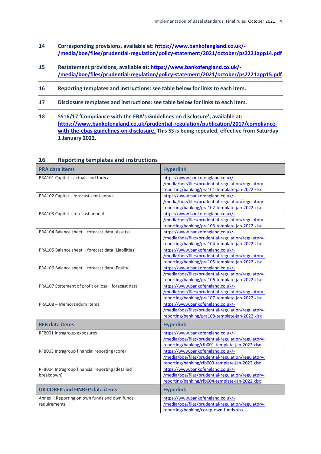- **14 Corresponding provisions, available at: [https://www.bankofengland.co.uk/-](https://www.bankofengland.co.uk/-/media/boe/files/prudential-regulation/policy-statement/2021/october/ps2221app14.pdf) [/media/boe/files/prudential-regulation/policy-statement/2021/october/ps2221app14.pdf](https://www.bankofengland.co.uk/-/media/boe/files/prudential-regulation/policy-statement/2021/october/ps2221app14.pdf)**
- **15 Restatement provisions, available at: [https://www.bankofengland.co.uk/-](https://www.bankofengland.co.uk/-/media/boe/files/prudential-regulation/policy-statement/2021/october/ps2221app15.pdf) [/media/boe/files/prudential-regulation/policy-statement/2021/october/ps2221app15.pdf](https://www.bankofengland.co.uk/-/media/boe/files/prudential-regulation/policy-statement/2021/october/ps2221app15.pdf)**
- **16 Reporting templates and instructions: see table below for links to each item.**
- **17 Disclosure templates and instructions: see table below for links to each item.**
- **18 SS16/17 'Compliance with the EBA's Guidelines on disclosure', available at: [https://www.bankofengland.co.uk/prudential-regulation/publication/2017/compliance](https://www.bankofengland.co.uk/prudential-regulation/publication/2017/compliance-with-the-ebas-guidelines-on-disclosure)[with-the-ebas-guidelines-on-disclosure.](https://www.bankofengland.co.uk/prudential-regulation/publication/2017/compliance-with-the-ebas-guidelines-on-disclosure) This SS is being repealed, effective from Saturday 1 January 2022.**

| <b>PRA data items</b>                                         | <b>Hyperlink</b>                                                                                                                           |
|---------------------------------------------------------------|--------------------------------------------------------------------------------------------------------------------------------------------|
| PRA101 Capital + actuals and forecast                         | https://www.bankofengland.co.uk/-<br>/media/boe/files/prudential-regulation/regulatory-<br>reporting/banking/pra101-template-jan-2022.xlsx |
| PRA102 Capital + forecast semi-annual                         | https://www.bankofengland.co.uk/-<br>/media/boe/files/prudential-regulation/regulatory-<br>reporting/banking/pra102-template-jan-2022.xlsx |
| PRA103 Capital + forecast annual                              | https://www.bankofengland.co.uk/-<br>/media/boe/files/prudential-regulation/regulatory-<br>reporting/banking/pra103-template-jan-2022.xlsx |
| PRA104 Balance sheet - forecast data (Assets)                 | https://www.bankofengland.co.uk/-<br>/media/boe/files/prudential-regulation/regulatory-<br>reporting/banking/pra104-template-jan-2022.xlsx |
| PRA105 Balance sheet - forecast data (Liabilities)            | https://www.bankofengland.co.uk/-<br>/media/boe/files/prudential-regulation/regulatory-<br>reporting/banking/pra105-template-jan-2022.xlsx |
| PRA106 Balance sheet - forecast data (Equity)                 | https://www.bankofengland.co.uk/-<br>/media/boe/files/prudential-regulation/regulatory-<br>reporting/banking/pra106-template-jan-2022.xlsx |
| PRA107 Statement of profit or loss - forecast data            | https://www.bankofengland.co.uk/-<br>/media/boe/files/prudential-regulation/regulatory-<br>reporting/banking/pra107-template-jan-2022.xlsx |
| PRA108 - Memorandum items                                     | https://www.bankofengland.co.uk/-<br>/media/boe/files/prudential-regulation/regulatory-<br>reporting/banking/pra108-template-jan-2022.xlsx |
| <b>RFB data items</b>                                         | <b>Hyperlink</b>                                                                                                                           |
| RFB001 Intragroup exposures                                   | https://www.bankofengland.co.uk/-<br>/media/boe/files/prudential-regulation/regulatory-<br>reporting/banking/rfb001-template-jan-2022.xlsx |
| RFB003 Intragroup financial reporting (core)                  | https://www.bankofengland.co.uk/-<br>/media/boe/files/prudential-regulation/regulatory-<br>reporting/banking/rfb003-template-jan-2022.xlsx |
| RFB004 Intragroup financial reporting (detailed<br>breakdown) | https://www.bankofengland.co.uk/-<br>/media/boe/files/prudential-regulation/regulatory-<br>reporting/banking/rfb004-template-jan-2022.xlsx |
| <b>UK COREP and FINREP data items</b>                         | <b>Hyperlink</b>                                                                                                                           |
| Annex I: Reporting on own funds and own funds<br>requirements | https://www.bankofengland.co.uk/-<br>/media/boe/files/prudential-regulation/regulatory-<br>reporting/banking/corep-own-funds.xlsx          |

#### **16 Reporting templates and instructions**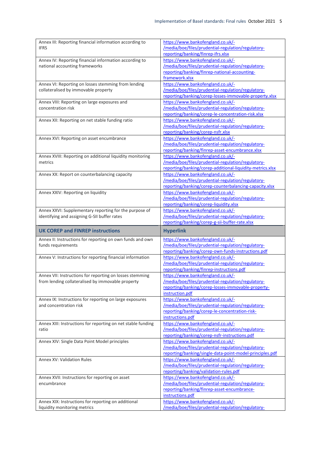| Annex III: Reporting financial information according to<br><b>IFRS</b>                                                | https://www.bankofengland.co.uk/-<br>/media/boe/files/prudential-regulation/regulatory-<br>reporting/banking/finrep-ifrs.xlsx                                                                   |
|-----------------------------------------------------------------------------------------------------------------------|-------------------------------------------------------------------------------------------------------------------------------------------------------------------------------------------------|
| Annex IV: Reporting financial information according to<br>national accounting frameworks                              | https://www.bankofengland.co.uk/-<br>/media/boe/files/prudential-regulation/regulatory-<br>reporting/banking/finrep-national-accounting-<br>framework.xlsx                                      |
| Annex VI: Reporting on losses stemming from lending<br>collateralised by immovable property                           | https://www.bankofengland.co.uk/-<br>/media/boe/files/prudential-regulation/regulatory-<br>reporting/banking/corep-losses-immovable-property.xlsx                                               |
| Annex VIII: Reporting on large exposures and<br>concentration risk                                                    | https://www.bankofengland.co.uk/-<br>/media/boe/files/prudential-regulation/regulatory-<br>reporting/banking/corep-le-concentration-risk.xlsx                                                   |
| Annex XII: Reporting on net stable funding ratio                                                                      | https://www.bankofengland.co.uk/-<br>/media/boe/files/prudential-regulation/regulatory-<br>reporting/banking/corep-nsfr.xlsx                                                                    |
| Annex XVI: Reporting on asset encumbrance                                                                             | https://www.bankofengland.co.uk/-<br>/media/boe/files/prudential-regulation/regulatory-<br>reporting/banking/finrep-asset-encumbrance.xlsx                                                      |
| Annex XVIII: Reporting on additional liquidity monitoring<br>metrics                                                  | https://www.bankofengland.co.uk/-<br>/media/boe/files/prudential-regulation/regulatory-<br>reporting/banking/corep-additional-liquidity-metrics.xlsx                                            |
| Annex XX: Report on counterbalancing capacity                                                                         | https://www.bankofengland.co.uk/-<br>/media/boe/files/prudential-regulation/regulatory-<br>reporting/banking/corep-counterbalancing-capacity.xlsx                                               |
| Annex XXIV: Reporting on liquidity                                                                                    | https://www.bankofengland.co.uk/-<br>/media/boe/files/prudential-regulation/regulatory-<br>reporting/banking/corep-liquidity.xlsx                                                               |
| Annex XXVI: Supplementary reporting for the purpose of<br>identifying and assigning G-SII buffer rates                | https://www.bankofengland.co.uk/-<br>/media/boe/files/prudential-regulation/regulatory-<br>reporting/banking/corep-g-sii-buffer-rate.xlsx                                                       |
|                                                                                                                       |                                                                                                                                                                                                 |
| <b>UK COREP and FINREP instructions</b>                                                                               | <b>Hyperlink</b>                                                                                                                                                                                |
| Annex II: Instructions for reporting on own funds and own<br>funds requirements                                       | https://www.bankofengland.co.uk/-<br>/media/boe/files/prudential-regulation/regulatory-<br>reporting/banking/corep-own-funds-instructions.pdf                                                   |
| Annex V: Instructions for reporting financial information                                                             | https://www.bankofengland.co.uk/-<br>/media/boe/files/prudential-regulation/regulatory-<br>reporting/banking/finrep-instructions.pdf                                                            |
| Annex VII: Instructions for reporting on losses stemming<br>from lending collateralised by immovable property         | https://www.bankofengland.co.uk/-<br>/media/boe/files/prudential-regulation/regulatory-<br>reporting/banking/corep-losses-immovable-property-<br>instruction.pdf                                |
| Annex IX: Instructions for reporting on large exposures<br>and concentration risk                                     | https://www.bankofengland.co.uk/-<br>/media/boe/files/prudential-regulation/regulatory-<br>reporting/banking/corep-le-concentration-risk-<br>instructions.pdf                                   |
| Annex XIII: Instructions for reporting on net stable funding<br>ratio                                                 | https://www.bankofengland.co.uk/-<br>/media/boe/files/prudential-regulation/regulatory-<br>reporting/banking/corep-nsfr-instructions.pdf                                                        |
| Annex XIV: Single Data Point Model principles                                                                         | https://www.bankofengland.co.uk/-<br>/media/boe/files/prudential-regulation/regulatory-<br>reporting/banking/single-data-point-model-principles.pdf                                             |
| <b>Annex XV: Validation Rules</b>                                                                                     | https://www.bankofengland.co.uk/-<br>/media/boe/files/prudential-regulation/regulatory-<br>reporting/banking/validation-rules.pdf                                                               |
| Annex XVII: Instructions for reporting on asset<br>encumbrance<br>Annex XIX: Instructions for reporting on additional | https://www.bankofengland.co.uk/-<br>/media/boe/files/prudential-regulation/regulatory-<br>reporting/banking/finrep-asset-encumbrance-<br>instructions.pdf<br>https://www.bankofengland.co.uk/- |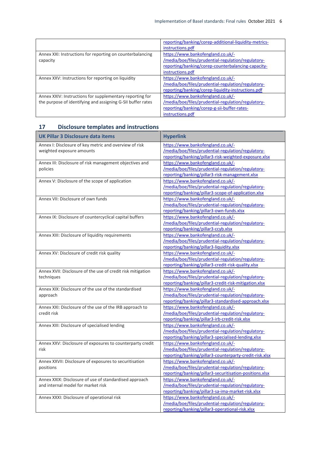|                                                             | reporting/banking/corep-additional-liquidity-metrics- |
|-------------------------------------------------------------|-------------------------------------------------------|
|                                                             | instructions.pdf                                      |
| Annex XXI: Instructions for reporting on counterbalancing   | https://www.bankofengland.co.uk/-                     |
| capacity                                                    | /media/boe/files/prudential-regulation/regulatory-    |
|                                                             | reporting/banking/corep-counterbalancing-capacity-    |
|                                                             | instructions.pdf                                      |
| Annex XXV: Instructions for reporting on liquidity          | https://www.bankofengland.co.uk/-                     |
|                                                             | /media/boe/files/prudential-regulation/regulatory-    |
|                                                             | reporting/banking/corep-liquidity-instructions.pdf    |
| Annex XXIV: Instructions for supplementary reporting for    | https://www.bankofengland.co.uk/-                     |
| the purpose of identifying and assigning G-SII buffer rates | /media/boe/files/prudential-regulation/regulatory-    |
|                                                             | reporting/banking/corep-g-sii-buffer-rates-           |
|                                                             | instructions.pdf                                      |

### **17 Disclosure templates and instructions**

| <b>UK Pillar 3 Disclosure data items</b>                    | <b>Hyperlink</b>                                        |
|-------------------------------------------------------------|---------------------------------------------------------|
| Annex I: Disclosure of key metric and overview of risk      | https://www.bankofengland.co.uk/-                       |
| weighted exposure amounts                                   | /media/boe/files/prudential-regulation/regulatory-      |
|                                                             | reporting/banking/pillar3-risk-weighted-exposure.xlsx   |
| Annex III: Disclosure of risk management objectives and     | https://www.bankofengland.co.uk/-                       |
| policies                                                    | /media/boe/files/prudential-regulation/regulatory-      |
|                                                             | reporting/banking/pillar3-risk-management.xlsx          |
| Annex V: Disclosure of the scope of application             | https://www.bankofengland.co.uk/-                       |
|                                                             | /media/boe/files/prudential-regulation/regulatory-      |
|                                                             | reporting/banking/pillar3-scope-of-application.xlsx     |
| Annex VII: Disclosure of own funds                          | https://www.bankofengland.co.uk/-                       |
|                                                             | /media/boe/files/prudential-regulation/regulatory-      |
|                                                             | reporting/banking/pillar3-own-funds.xlsx                |
| Annex IX: Disclosure of countercyclical capital buffers     | https://www.bankofengland.co.uk/-                       |
|                                                             | /media/boe/files/prudential-regulation/regulatory-      |
|                                                             | reporting/banking/pillar3-ccyb.xlsx                     |
| Annex XIII: Disclosure of liquidity requirements            | https://www.bankofengland.co.uk/-                       |
|                                                             | /media/boe/files/prudential-regulation/regulatory-      |
|                                                             | reporting/banking/pillar3-liquidity.xlsx                |
| Annex XV: Disclosure of credit risk quality                 | https://www.bankofengland.co.uk/-                       |
|                                                             | /media/boe/files/prudential-regulation/regulatory-      |
|                                                             | reporting/banking/pillar3-credit-risk-quality.xlsx      |
| Annex XVII: Disclosure of the use of credit risk mitigation | https://www.bankofengland.co.uk/-                       |
| techniques                                                  | /media/boe/files/prudential-regulation/regulatory-      |
|                                                             | reporting/banking/pillar3-credit-risk-mitigation.xlsx   |
| Annex XIX: Disclosure of the use of the standardised        | https://www.bankofengland.co.uk/-                       |
| approach                                                    | /media/boe/files/prudential-regulation/regulatory-      |
|                                                             | reporting/banking/pillar3-standardised-approach.xlsx    |
| Annex XXI: Disclosure of the use of the IRB approach to     | https://www.bankofengland.co.uk/-                       |
| credit risk                                                 | /media/boe/files/prudential-regulation/regulatory-      |
|                                                             | reporting/banking/pillar3-irb-credit-risk.xlsx          |
| Annex XIII: Disclosure of specialised lending               | https://www.bankofengland.co.uk/-                       |
|                                                             | /media/boe/files/prudential-regulation/regulatory-      |
|                                                             | reporting/banking/pillar3-specialised-lending.xlsx      |
| Annex XXV: Disclosure of exposures to counterparty credit   | https://www.bankofengland.co.uk/-                       |
| risk                                                        | /media/boe/files/prudential-regulation/regulatory-      |
|                                                             | reporting/banking/pillar3-counterparty-credit-risk.xlsx |
| Annex XXVII: Disclosure of exposures to securitisation      | https://www.bankofengland.co.uk/-                       |
| positions                                                   | /media/boe/files/prudential-regulation/regulatory-      |
|                                                             | reporting/banking/pillar3-securitisation-positions.xlsx |
| Annex XXIX: Disclosure of use of standardised approach      | https://www.bankofengland.co.uk/-                       |
| and internal model for market risk                          | /media/boe/files/prudential-regulation/regulatory-      |
|                                                             | reporting/banking/pillar3-sa-ima-market-risk.xlsx       |
| Annex XXXI: Disclosure of operational risk                  | https://www.bankofengland.co.uk/-                       |
|                                                             | /media/boe/files/prudential-regulation/regulatory-      |
|                                                             | reporting/banking/pillar3-operational-risk.xlsx         |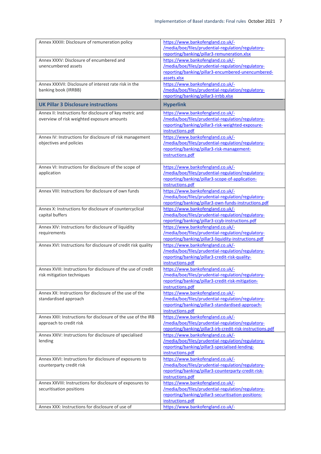| Annex XXXIII: Disclosure of remuneration policy                                                       | https://www.bankofengland.co.uk/-<br>/media/boe/files/prudential-regulation/regulatory-<br>reporting/banking/pillar3-remuneration.xlsx                                  |
|-------------------------------------------------------------------------------------------------------|-------------------------------------------------------------------------------------------------------------------------------------------------------------------------|
| Annex XXXV: Disclosure of encumbered and<br>unencumbered assets                                       | https://www.bankofengland.co.uk/-<br>/media/boe/files/prudential-regulation/regulatory-<br>reporting/banking/pillar3-encumbered-unencumbered-<br>assets.xlsx            |
| Annex XXXVII: Disclosure of interest rate risk in the<br>banking book (IRRBB)                         | https://www.bankofengland.co.uk/-<br>/media/boe/files/prudential-regulation/regulatory-<br>reporting/banking/pillar3-irrbb.xlsx                                         |
| <b>UK Pillar 3 Disclosure instructions</b>                                                            | <b>Hyperlink</b>                                                                                                                                                        |
| Annex II: Instructions for disclosure of key metric and<br>overview of risk weighted exposure amounts | https://www.bankofengland.co.uk/-<br>/media/boe/files/prudential-regulation/regulatory-<br>reporting/banking/pillar3-risk-weighted-exposure-<br>instructions.pdf        |
| Annex IV: Instructions for disclosure of risk management<br>objectives and policies                   | https://www.bankofengland.co.uk/-<br>/media/boe/files/prudential-regulation/regulatory-<br>reporting/banking/pillar3-risk-management-<br>instructions.pdf               |
| Annex VI: Instructions for disclosure of the scope of<br>application                                  | https://www.bankofengland.co.uk/-<br>/media/boe/files/prudential-regulation/regulatory-<br>reporting/banking/pillar3-scope-of-application-<br>instructions.pdf          |
| Annex VIII: Instructions for disclosure of own funds                                                  | https://www.bankofengland.co.uk/-<br>/media/boe/files/prudential-regulation/regulatory-<br>reporting/banking/pillar3-own-funds-instructions.pdf                         |
| Annex X: Instructions for disclosure of countercyclical<br>capital buffers                            | https://www.bankofengland.co.uk/-<br>/media/boe/files/prudential-regulation/regulatory-<br>reporting/banking/pillar3-ccyb-instructions.pdf                              |
| Annex XIV: Instructions for disclosure of liquidity<br>requirements                                   | https://www.bankofengland.co.uk/-<br>/media/boe/files/prudential-regulation/regulatory-<br>reporting/banking/pillar3-liquidity-instructions.pdf                         |
| Annex XVI: Instructions for disclosure of credit risk quality                                         | https://www.bankofengland.co.uk/-<br>/media/boe/files/prudential-regulation/regulatory-<br>reporting/banking/pillar3-credit-risk-quality-<br>instructions.pdf           |
| Annex XVIII: Instructions for disclosure of the use of credit<br>risk mitigation techniques           | https://www.bankofengland.co.uk/-<br>/media/boe/files/prudential-regulation/regulatory-<br><u>reporting/banking/pillar3-credit-risk-mitigation-</u><br>instructions.pdf |
| Annex XX: Instructions for disclosure of the use of the<br>standardised approach                      | https://www.bankofengland.co.uk/-<br>/media/boe/files/prudential-regulation/regulatory-<br>reporting/banking/pillar3-standardised-approach-<br>instructions.pdf         |
| Annex XXII: Instructions for disclosure of the use of the IRB<br>approach to credit risk              | https://www.bankofengland.co.uk/-<br>/media/boe/files/prudential-regulation/regulatory-<br>reporting/banking/pillar3-irb-credit-risk-instructions.pdf                   |
| Annex XXIV: Instructions for disclosure of specialised<br>lending                                     | https://www.bankofengland.co.uk/-<br>/media/boe/files/prudential-regulation/regulatory-<br>reporting/banking/pillar3-specialised-lending-<br>instructions.pdf           |
| Annex XXVI: Instructions for disclosure of exposures to<br>counterparty credit risk                   | https://www.bankofengland.co.uk/-<br>/media/boe/files/prudential-regulation/regulatory-<br>reporting/banking/pillar3-counterparty-credit-risk-<br>instructions.pdf      |
| Annex XXVIII: Instructions for disclosure of exposures to<br>securitisation positions                 | https://www.bankofengland.co.uk/-<br>/media/boe/files/prudential-regulation/regulatory-<br>reporting/banking/pillar3-securitisation-positions-<br>instructions.pdf      |
| Annex XXX: Instructions for disclosure of use of                                                      | https://www.bankofengland.co.uk/-                                                                                                                                       |